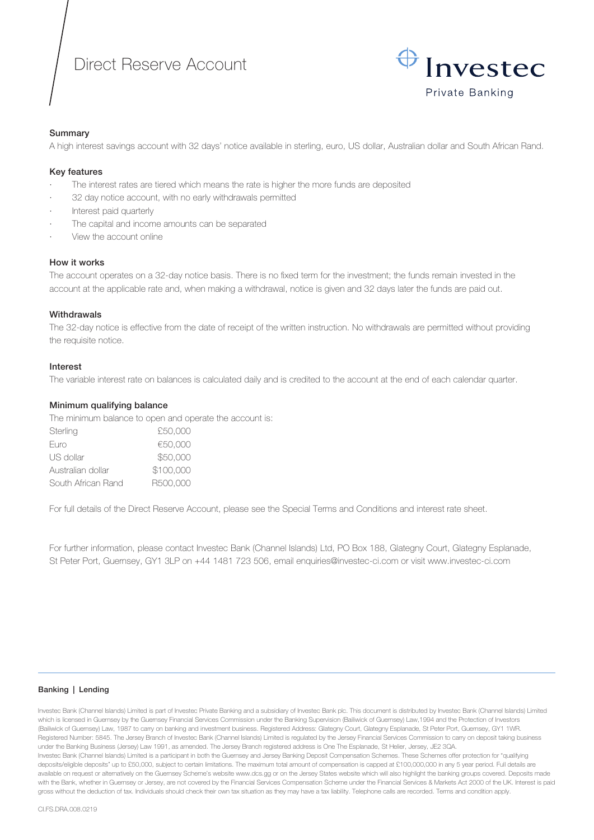# Direct Reserve Account



# Summary

A high interest savings account with 32 days' notice available in sterling, euro, US dollar, Australian dollar and South African Rand.

## Key features

- · The interest rates are tiered which means the rate is higher the more funds are deposited
- 32 day notice account, with no early withdrawals permitted
- Interest paid quarterly
- The capital and income amounts can be separated
- · View the account online

## How it works

The account operates on a 32-day notice basis. There is no fixed term for the investment; the funds remain invested in the account at the applicable rate and, when making a withdrawal, notice is given and 32 days later the funds are paid out.

## **Withdrawals**

The 32-day notice is effective from the date of receipt of the written instruction. No withdrawals are permitted without providing the requisite notice.

## Interest

The variable interest rate on balances is calculated daily and is credited to the account at the end of each calendar quarter.

## Minimum qualifying balance

The minimum balance to open and operate the account is:

| Sterling           | £50,000   |
|--------------------|-----------|
| Euro               | €50,000   |
| US dollar          | \$50,000  |
| Australian dollar  | \$100,000 |
| South African Rand | R500,000  |

For full details of the Direct Reserve Account, please see the Special Terms and Conditions and interest rate sheet.

For further information, please contact Investec Bank (Channel Islands) Ltd, PO Box 188, Glategny Court, Glategny Esplanade, St Peter Port, Guernsey, GY1 3LP on +44 1481 723 506, email enquiries@investec-ci.com or visit www.investec-ci.com

#### Banking | Lending

Investec Bank (Channel Islands) Limited is part of Investec Private Banking and a subsidiary of Investec Bank plc. This document is distributed by Investec Bank (Channel Islands) Limited which is licensed in Guernsey by the Guernsey Financial Services Commission under the Banking Supervision (Bailiwick of Guernsey) Law,1994 and the Protection of Investors (Bailiwick of Guernsey) Law, 1987 to carry on banking and investment business. Registered Address: Glategny Court, Glategny Esplanade, St Peter Port, Guernsey, GY1 1WR. Registered Number: 5845. The Jersey Branch of Investec Bank (Channel Islands) Limited is regulated by the Jersey Financial Services Commission to carry on deposit taking business under the Banking Business (Jersey) Law 1991, as amended. The Jersey Branch registered address is One The Esplanade, St Helier, Jersey, JE2 3QA. Investec Bank (Channel Islands) Limited is a participant in both the Guernsey and Jersey Banking Deposit Compensation Schemes. These Schemes offer protection for "qualifying deposits/eligible deposits" up to £50,000, subject to certain limitations. The maximum total amount of compensation is capped at £100,000,000 in any 5 year period. Full details are available on request or alternatively on the Guernsey Scheme's website www.dcs.gg or on the Jersey States website which will also highlight the banking groups covered. Deposits made with the Bank, whether in Guernsey or Jersey, are not covered by the Financial Services Compensation Scheme under the Financial Services & Markets Act 2000 of the UK. Interest is paid gross without the deduction of tax. Individuals should check their own tax situation as they may have a tax liability. Telephone calls are recorded. Terms and condition apply.